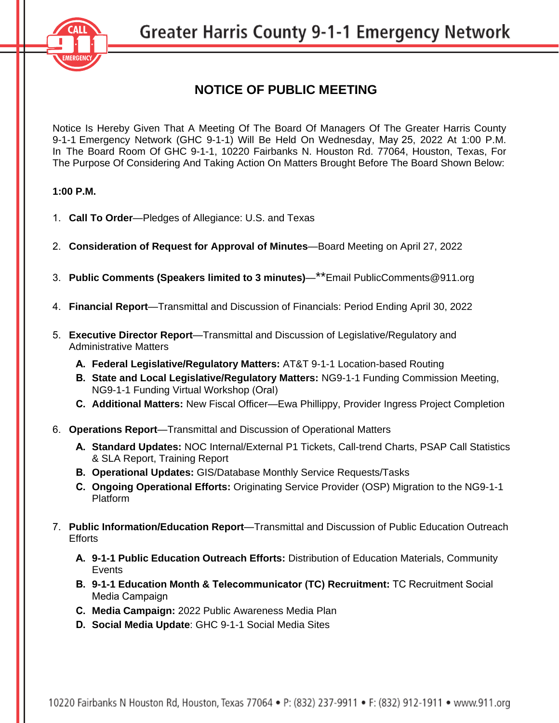

## **NOTICE OF PUBLIC MEETING**

Notice Is Hereby Given That A Meeting Of The Board Of Managers Of The Greater Harris County 9-1-1 Emergency Network (GHC 9-1-1) Will Be Held On Wednesday, May 25, 2022 At 1:00 P.M. In The Board Room Of GHC 9-1-1, 10220 Fairbanks N. Houston Rd. 77064, Houston, Texas, For The Purpose Of Considering And Taking Action On Matters Brought Before The Board Shown Below:

## **1:00 P.M.**

- 1. **Call To Order**—Pledges of Allegiance: U.S. and Texas
- 2. **Consideration of Request for Approval of Minutes**—Board Meeting on April 27, 2022
- 3. **Public Comments (Speakers limited to 3 minutes)**—\*\*Emai[l PublicComments@911.org](mailto:PublicComments@911.org)
- 4. **Financial Report**—Transmittal and Discussion of Financials: Period Ending April 30, 2022
- 5. **Executive Director Report**—Transmittal and Discussion of Legislative/Regulatory and Administrative Matters
	- **A. Federal Legislative/Regulatory Matters:** AT&T 9-1-1 Location-based Routing
	- **B. State and Local Legislative/Regulatory Matters:** NG9-1-1 Funding Commission Meeting, NG9-1-1 Funding Virtual Workshop (Oral)
	- **C. Additional Matters:** New Fiscal Officer—Ewa Phillippy, Provider Ingress Project Completion
- 6. **Operations Report**—Transmittal and Discussion of Operational Matters
	- **A. Standard Updates:** NOC Internal/External P1 Tickets, Call-trend Charts, PSAP Call Statistics & SLA Report, Training Report
	- **B. Operational Updates:** GIS/Database Monthly Service Requests/Tasks
	- **C. Ongoing Operational Efforts:** Originating Service Provider (OSP) Migration to the NG9-1-1 Platform
- 7. **Public Information/Education Report**—Transmittal and Discussion of Public Education Outreach **Efforts** 
	- **A. 9-1-1 Public Education Outreach Efforts:** Distribution of Education Materials, Community Events
	- **B. 9-1-1 Education Month & Telecommunicator (TC) Recruitment:** TC Recruitment Social Media Campaign
	- **C. Media Campaign:** 2022 Public Awareness Media Plan
	- **D. Social Media Update**: GHC 9-1-1 Social Media Sites

10220 Fairbanks N Houston Rd, Houston, Texas 77064 • P: (832) 237-9911 • F: (832) 912-1911 • www.911.org